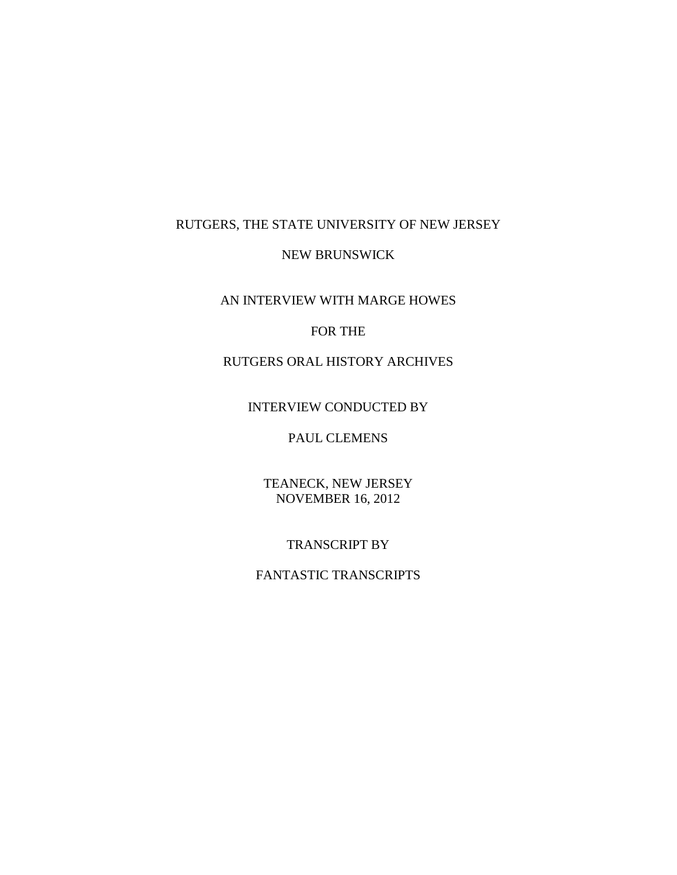## RUTGERS, THE STATE UNIVERSITY OF NEW JERSEY

### NEW BRUNSWICK

AN INTERVIEW WITH MARGE HOWES

### FOR THE

# RUTGERS ORAL HISTORY ARCHIVES

### INTERVIEW CONDUCTED BY

## PAUL CLEMENS

TEANECK, NEW JERSEY NOVEMBER 16, 2012

#### TRANSCRIPT BY

## FANTASTIC TRANSCRIPTS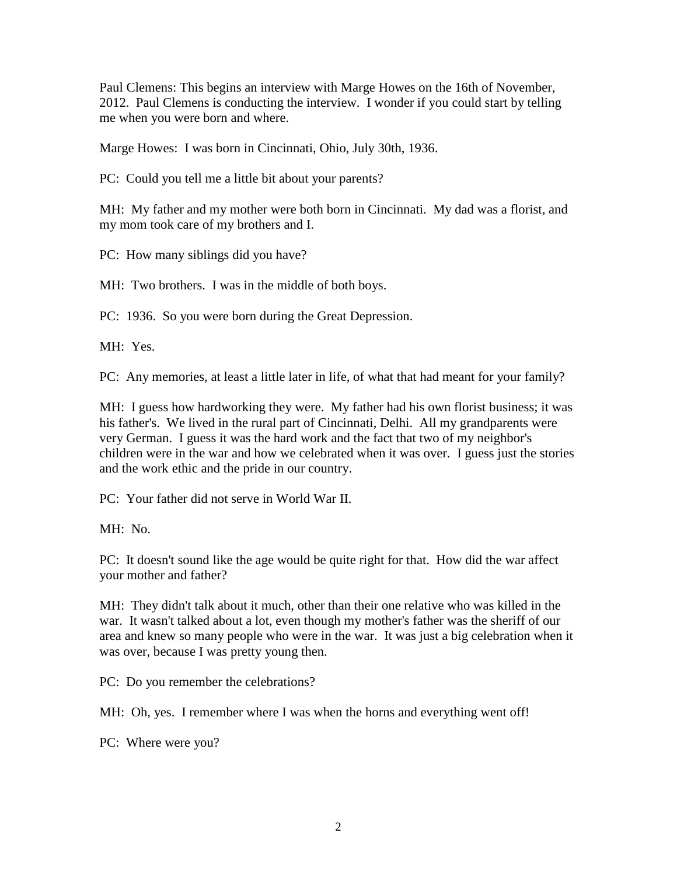Paul Clemens: This begins an interview with Marge Howes on the 16th of November, 2012. Paul Clemens is conducting the interview. I wonder if you could start by telling me when you were born and where.

Marge Howes: I was born in Cincinnati, Ohio, July 30th, 1936.

PC: Could you tell me a little bit about your parents?

MH: My father and my mother were both born in Cincinnati. My dad was a florist, and my mom took care of my brothers and I.

PC: How many siblings did you have?

MH: Two brothers. I was in the middle of both boys.

PC: 1936. So you were born during the Great Depression.

MH: Yes.

PC: Any memories, at least a little later in life, of what that had meant for your family?

MH: I guess how hardworking they were. My father had his own florist business; it was his father's. We lived in the rural part of Cincinnati, Delhi. All my grandparents were very German. I guess it was the hard work and the fact that two of my neighbor's children were in the war and how we celebrated when it was over. I guess just the stories and the work ethic and the pride in our country.

PC: Your father did not serve in World War II.

MH: No.

PC: It doesn't sound like the age would be quite right for that. How did the war affect your mother and father?

MH: They didn't talk about it much, other than their one relative who was killed in the war. It wasn't talked about a lot, even though my mother's father was the sheriff of our area and knew so many people who were in the war. It was just a big celebration when it was over, because I was pretty young then.

PC: Do you remember the celebrations?

MH: Oh, yes. I remember where I was when the horns and everything went off!

PC: Where were you?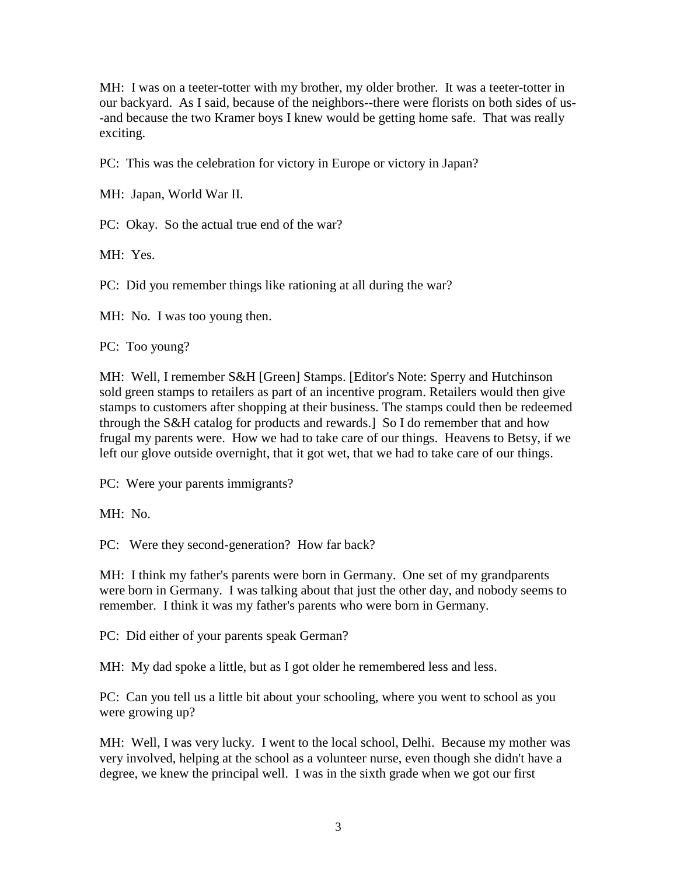MH: I was on a teeter-totter with my brother, my older brother. It was a teeter-totter in our backyard. As I said, because of the neighbors--there were florists on both sides of us- -and because the two Kramer boys I knew would be getting home safe. That was really exciting.

PC: This was the celebration for victory in Europe or victory in Japan?

MH: Japan, World War II.

PC: Okay. So the actual true end of the war?

MH: Yes.

PC: Did you remember things like rationing at all during the war?

MH: No. I was too young then.

PC: Too young?

MH: Well, I remember S&H [Green] Stamps. [Editor's Note: Sperry and Hutchinson sold green stamps to retailers as part of an incentive program. Retailers would then give stamps to customers after shopping at their business. The stamps could then be redeemed through the S&H catalog for products and rewards.] So I do remember that and how frugal my parents were. How we had to take care of our things. Heavens to Betsy, if we left our glove outside overnight, that it got wet, that we had to take care of our things.

PC: Were your parents immigrants?

MH: No.

PC: Were they second-generation? How far back?

MH: I think my father's parents were born in Germany. One set of my grandparents were born in Germany. I was talking about that just the other day, and nobody seems to remember. I think it was my father's parents who were born in Germany.

PC: Did either of your parents speak German?

MH: My dad spoke a little, but as I got older he remembered less and less.

PC: Can you tell us a little bit about your schooling, where you went to school as you were growing up?

MH: Well, I was very lucky. I went to the local school, Delhi. Because my mother was very involved, helping at the school as a volunteer nurse, even though she didn't have a degree, we knew the principal well. I was in the sixth grade when we got our first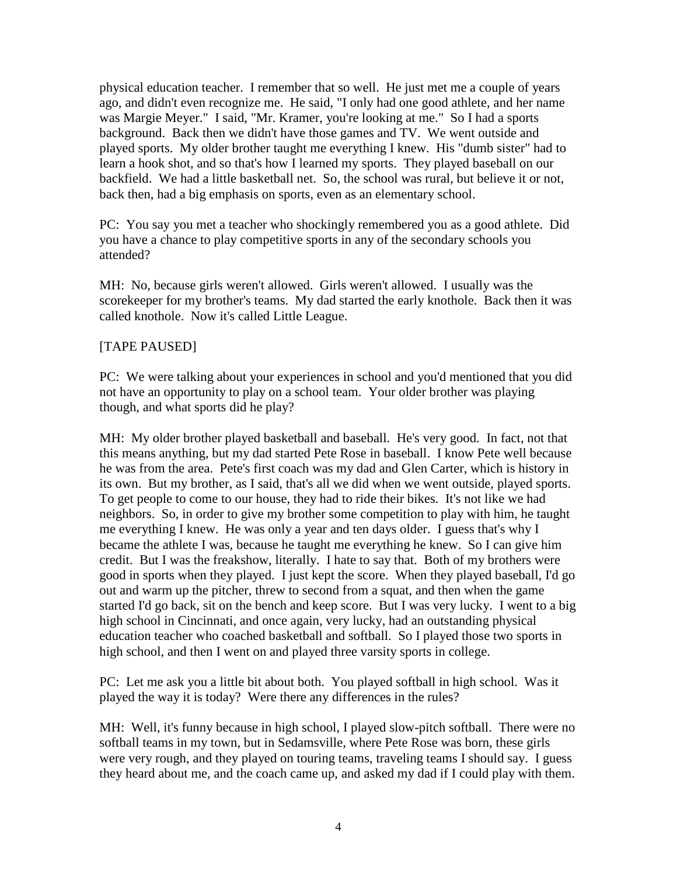physical education teacher. I remember that so well. He just met me a couple of years ago, and didn't even recognize me. He said, "I only had one good athlete, and her name was Margie Meyer." I said, "Mr. Kramer, you're looking at me." So I had a sports background. Back then we didn't have those games and TV. We went outside and played sports. My older brother taught me everything I knew. His "dumb sister" had to learn a hook shot, and so that's how I learned my sports. They played baseball on our backfield. We had a little basketball net. So, the school was rural, but believe it or not, back then, had a big emphasis on sports, even as an elementary school.

PC: You say you met a teacher who shockingly remembered you as a good athlete. Did you have a chance to play competitive sports in any of the secondary schools you attended?

MH: No, because girls weren't allowed. Girls weren't allowed. I usually was the scorekeeper for my brother's teams. My dad started the early knothole. Back then it was called knothole. Now it's called Little League.

### [TAPE PAUSED]

PC: We were talking about your experiences in school and you'd mentioned that you did not have an opportunity to play on a school team. Your older brother was playing though, and what sports did he play?

MH: My older brother played basketball and baseball. He's very good. In fact, not that this means anything, but my dad started Pete Rose in baseball. I know Pete well because he was from the area. Pete's first coach was my dad and Glen Carter, which is history in its own. But my brother, as I said, that's all we did when we went outside, played sports. To get people to come to our house, they had to ride their bikes. It's not like we had neighbors. So, in order to give my brother some competition to play with him, he taught me everything I knew. He was only a year and ten days older. I guess that's why I became the athlete I was, because he taught me everything he knew. So I can give him credit. But I was the freakshow, literally. I hate to say that. Both of my brothers were good in sports when they played. I just kept the score. When they played baseball, I'd go out and warm up the pitcher, threw to second from a squat, and then when the game started I'd go back, sit on the bench and keep score. But I was very lucky. I went to a big high school in Cincinnati, and once again, very lucky, had an outstanding physical education teacher who coached basketball and softball. So I played those two sports in high school, and then I went on and played three varsity sports in college.

PC: Let me ask you a little bit about both. You played softball in high school. Was it played the way it is today? Were there any differences in the rules?

MH: Well, it's funny because in high school, I played slow-pitch softball. There were no softball teams in my town, but in Sedamsville, where Pete Rose was born, these girls were very rough, and they played on touring teams, traveling teams I should say. I guess they heard about me, and the coach came up, and asked my dad if I could play with them.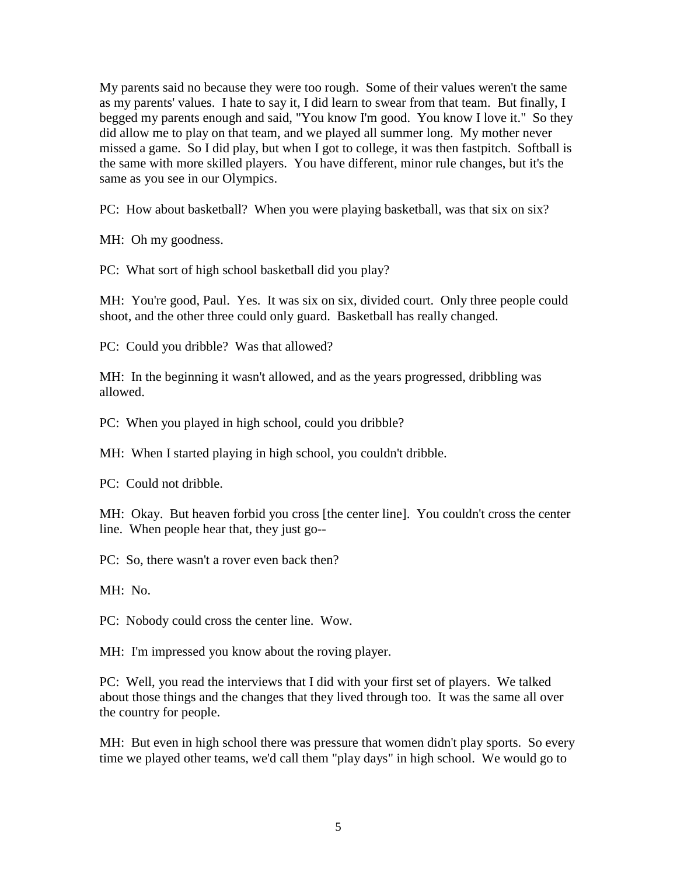My parents said no because they were too rough. Some of their values weren't the same as my parents' values. I hate to say it, I did learn to swear from that team. But finally, I begged my parents enough and said, "You know I'm good. You know I love it." So they did allow me to play on that team, and we played all summer long. My mother never missed a game. So I did play, but when I got to college, it was then fastpitch. Softball is the same with more skilled players. You have different, minor rule changes, but it's the same as you see in our Olympics.

PC: How about basketball? When you were playing basketball, was that six on six?

MH: Oh my goodness.

PC: What sort of high school basketball did you play?

MH: You're good, Paul. Yes. It was six on six, divided court. Only three people could shoot, and the other three could only guard. Basketball has really changed.

PC: Could you dribble? Was that allowed?

MH: In the beginning it wasn't allowed, and as the years progressed, dribbling was allowed.

PC: When you played in high school, could you dribble?

MH: When I started playing in high school, you couldn't dribble.

PC: Could not dribble.

MH: Okay. But heaven forbid you cross [the center line]. You couldn't cross the center line. When people hear that, they just go--

PC: So, there wasn't a rover even back then?

MH: No.

PC: Nobody could cross the center line. Wow.

MH: I'm impressed you know about the roving player.

PC: Well, you read the interviews that I did with your first set of players. We talked about those things and the changes that they lived through too. It was the same all over the country for people.

MH: But even in high school there was pressure that women didn't play sports. So every time we played other teams, we'd call them "play days" in high school. We would go to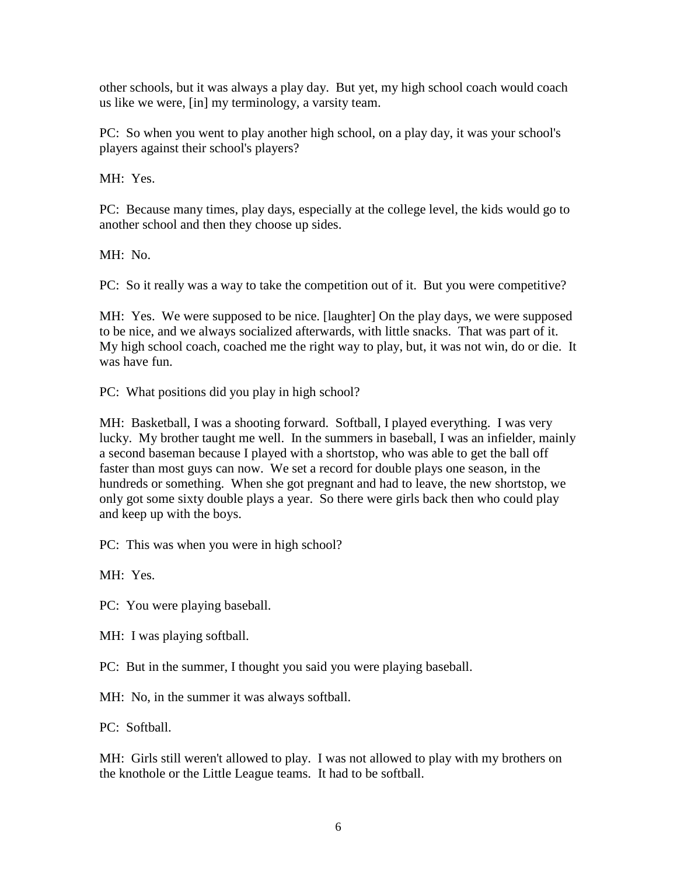other schools, but it was always a play day. But yet, my high school coach would coach us like we were, [in] my terminology, a varsity team.

PC: So when you went to play another high school, on a play day, it was your school's players against their school's players?

MH: Yes.

PC: Because many times, play days, especially at the college level, the kids would go to another school and then they choose up sides.

MH: No.

PC: So it really was a way to take the competition out of it. But you were competitive?

MH: Yes. We were supposed to be nice. [laughter] On the play days, we were supposed to be nice, and we always socialized afterwards, with little snacks. That was part of it. My high school coach, coached me the right way to play, but, it was not win, do or die. It was have fun.

PC: What positions did you play in high school?

MH: Basketball, I was a shooting forward. Softball, I played everything. I was very lucky. My brother taught me well. In the summers in baseball, I was an infielder, mainly a second baseman because I played with a shortstop, who was able to get the ball off faster than most guys can now. We set a record for double plays one season, in the hundreds or something. When she got pregnant and had to leave, the new shortstop, we only got some sixty double plays a year. So there were girls back then who could play and keep up with the boys.

PC: This was when you were in high school?

MH: Yes.

PC: You were playing baseball.

MH: I was playing softball.

PC: But in the summer, I thought you said you were playing baseball.

MH: No, in the summer it was always softball.

PC: Softball

MH: Girls still weren't allowed to play. I was not allowed to play with my brothers on the knothole or the Little League teams. It had to be softball.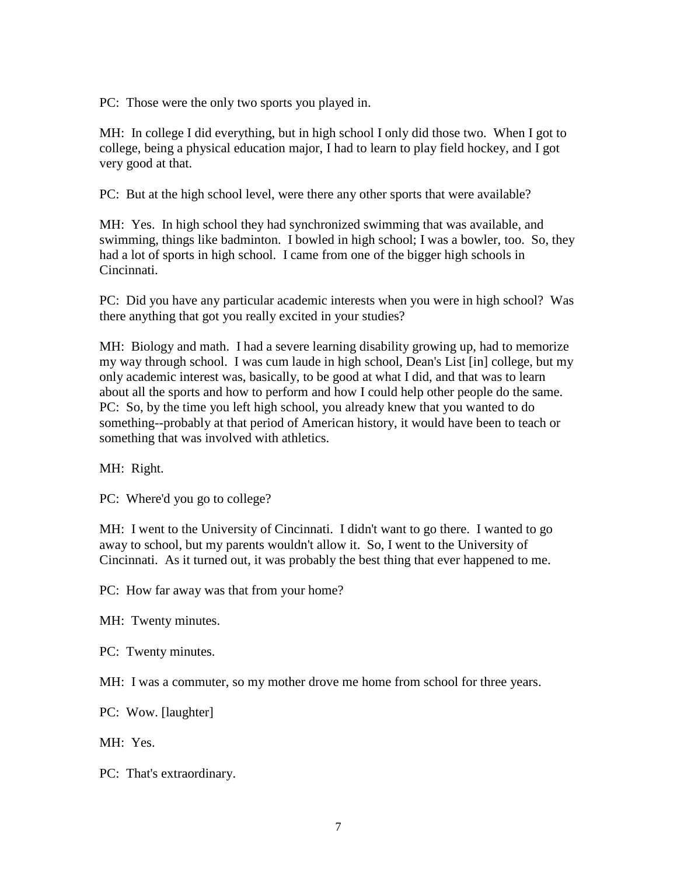PC: Those were the only two sports you played in.

MH: In college I did everything, but in high school I only did those two. When I got to college, being a physical education major, I had to learn to play field hockey, and I got very good at that.

PC: But at the high school level, were there any other sports that were available?

MH: Yes. In high school they had synchronized swimming that was available, and swimming, things like badminton. I bowled in high school; I was a bowler, too. So, they had a lot of sports in high school. I came from one of the bigger high schools in Cincinnati.

PC: Did you have any particular academic interests when you were in high school? Was there anything that got you really excited in your studies?

MH: Biology and math. I had a severe learning disability growing up, had to memorize my way through school. I was cum laude in high school, Dean's List [in] college, but my only academic interest was, basically, to be good at what I did, and that was to learn about all the sports and how to perform and how I could help other people do the same. PC: So, by the time you left high school, you already knew that you wanted to do something--probably at that period of American history, it would have been to teach or something that was involved with athletics.

MH: Right.

PC: Where'd you go to college?

MH: I went to the University of Cincinnati. I didn't want to go there. I wanted to go away to school, but my parents wouldn't allow it. So, I went to the University of Cincinnati. As it turned out, it was probably the best thing that ever happened to me.

PC: How far away was that from your home?

MH: Twenty minutes.

PC: Twenty minutes.

MH: I was a commuter, so my mother drove me home from school for three years.

PC: Wow. [laughter]

MH: Yes.

PC: That's extraordinary.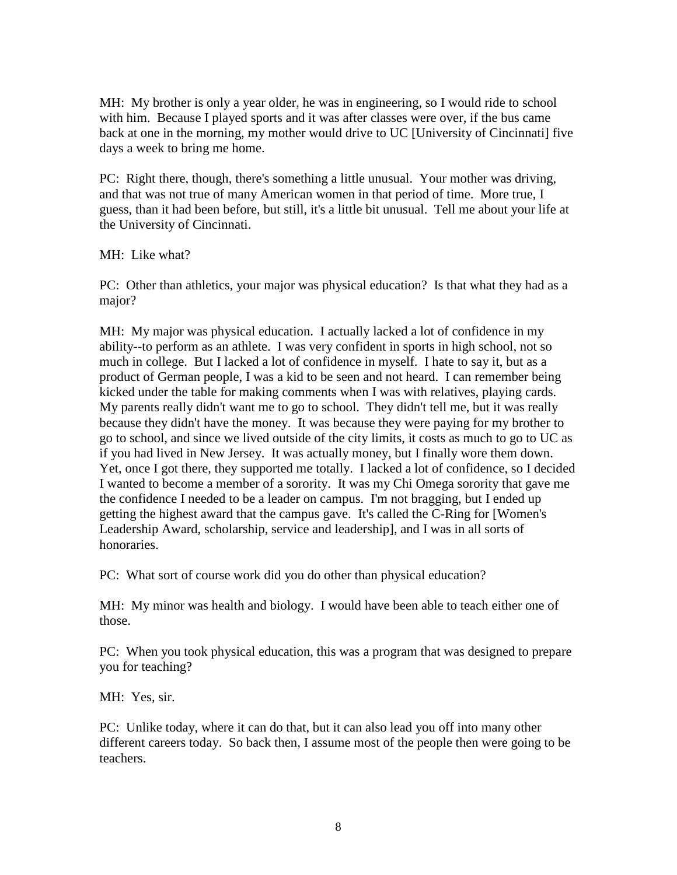MH: My brother is only a year older, he was in engineering, so I would ride to school with him. Because I played sports and it was after classes were over, if the bus came back at one in the morning, my mother would drive to UC [University of Cincinnati] five days a week to bring me home.

PC: Right there, though, there's something a little unusual. Your mother was driving, and that was not true of many American women in that period of time. More true, I guess, than it had been before, but still, it's a little bit unusual. Tell me about your life at the University of Cincinnati.

MH: Like what?

PC: Other than athletics, your major was physical education? Is that what they had as a major?

MH: My major was physical education. I actually lacked a lot of confidence in my ability--to perform as an athlete. I was very confident in sports in high school, not so much in college. But I lacked a lot of confidence in myself. I hate to say it, but as a product of German people, I was a kid to be seen and not heard. I can remember being kicked under the table for making comments when I was with relatives, playing cards. My parents really didn't want me to go to school. They didn't tell me, but it was really because they didn't have the money. It was because they were paying for my brother to go to school, and since we lived outside of the city limits, it costs as much to go to UC as if you had lived in New Jersey. It was actually money, but I finally wore them down. Yet, once I got there, they supported me totally. I lacked a lot of confidence, so I decided I wanted to become a member of a sorority. It was my Chi Omega sorority that gave me the confidence I needed to be a leader on campus. I'm not bragging, but I ended up getting the highest award that the campus gave. It's called the C-Ring for [Women's Leadership Award, scholarship, service and leadership], and I was in all sorts of honoraries.

PC: What sort of course work did you do other than physical education?

MH: My minor was health and biology. I would have been able to teach either one of those.

PC: When you took physical education, this was a program that was designed to prepare you for teaching?

MH: Yes, sir.

PC: Unlike today, where it can do that, but it can also lead you off into many other different careers today. So back then, I assume most of the people then were going to be teachers.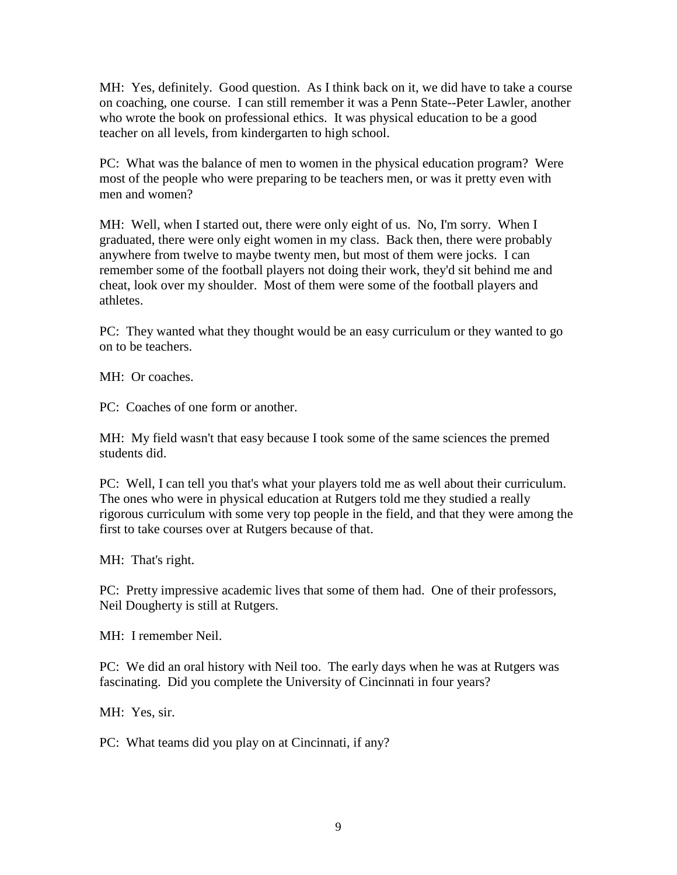MH: Yes, definitely. Good question. As I think back on it, we did have to take a course on coaching, one course. I can still remember it was a Penn State--Peter Lawler, another who wrote the book on professional ethics. It was physical education to be a good teacher on all levels, from kindergarten to high school.

PC: What was the balance of men to women in the physical education program? Were most of the people who were preparing to be teachers men, or was it pretty even with men and women?

MH: Well, when I started out, there were only eight of us. No, I'm sorry. When I graduated, there were only eight women in my class. Back then, there were probably anywhere from twelve to maybe twenty men, but most of them were jocks. I can remember some of the football players not doing their work, they'd sit behind me and cheat, look over my shoulder. Most of them were some of the football players and athletes.

PC: They wanted what they thought would be an easy curriculum or they wanted to go on to be teachers.

MH: Or coaches.

PC: Coaches of one form or another.

MH: My field wasn't that easy because I took some of the same sciences the premed students did.

PC: Well, I can tell you that's what your players told me as well about their curriculum. The ones who were in physical education at Rutgers told me they studied a really rigorous curriculum with some very top people in the field, and that they were among the first to take courses over at Rutgers because of that.

MH: That's right.

PC: Pretty impressive academic lives that some of them had. One of their professors, Neil Dougherty is still at Rutgers.

MH: I remember Neil.

PC: We did an oral history with Neil too. The early days when he was at Rutgers was fascinating. Did you complete the University of Cincinnati in four years?

MH: Yes, sir.

PC: What teams did you play on at Cincinnati, if any?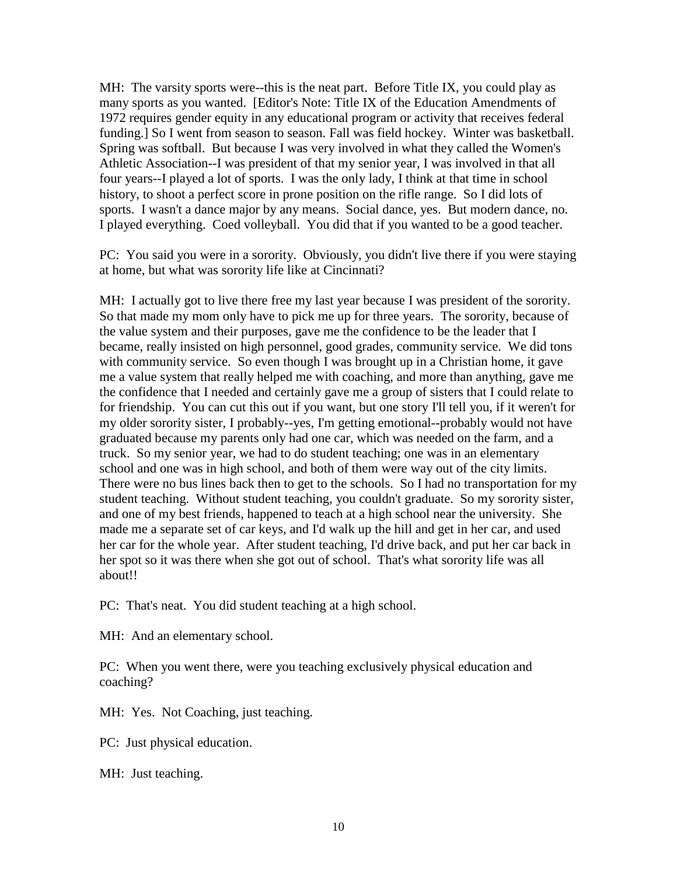MH: The varsity sports were--this is the neat part. Before Title IX, you could play as many sports as you wanted. [Editor's Note: Title IX of the Education Amendments of 1972 requires gender equity in any educational program or activity that receives federal funding.] So I went from season to season. Fall was field hockey. Winter was basketball. Spring was softball. But because I was very involved in what they called the Women's Athletic Association--I was president of that my senior year, I was involved in that all four years--I played a lot of sports. I was the only lady, I think at that time in school history, to shoot a perfect score in prone position on the rifle range. So I did lots of sports. I wasn't a dance major by any means. Social dance, yes. But modern dance, no. I played everything. Coed volleyball. You did that if you wanted to be a good teacher.

PC: You said you were in a sorority. Obviously, you didn't live there if you were staying at home, but what was sorority life like at Cincinnati?

MH: I actually got to live there free my last year because I was president of the sorority. So that made my mom only have to pick me up for three years. The sorority, because of the value system and their purposes, gave me the confidence to be the leader that I became, really insisted on high personnel, good grades, community service. We did tons with community service. So even though I was brought up in a Christian home, it gave me a value system that really helped me with coaching, and more than anything, gave me the confidence that I needed and certainly gave me a group of sisters that I could relate to for friendship. You can cut this out if you want, but one story I'll tell you, if it weren't for my older sorority sister, I probably--yes, I'm getting emotional--probably would not have graduated because my parents only had one car, which was needed on the farm, and a truck. So my senior year, we had to do student teaching; one was in an elementary school and one was in high school, and both of them were way out of the city limits. There were no bus lines back then to get to the schools. So I had no transportation for my student teaching. Without student teaching, you couldn't graduate. So my sorority sister, and one of my best friends, happened to teach at a high school near the university. She made me a separate set of car keys, and I'd walk up the hill and get in her car, and used her car for the whole year. After student teaching, I'd drive back, and put her car back in her spot so it was there when she got out of school. That's what sorority life was all about!!

PC: That's neat. You did student teaching at a high school.

MH: And an elementary school.

PC: When you went there, were you teaching exclusively physical education and coaching?

MH: Yes. Not Coaching, just teaching.

PC: Just physical education.

MH: Just teaching.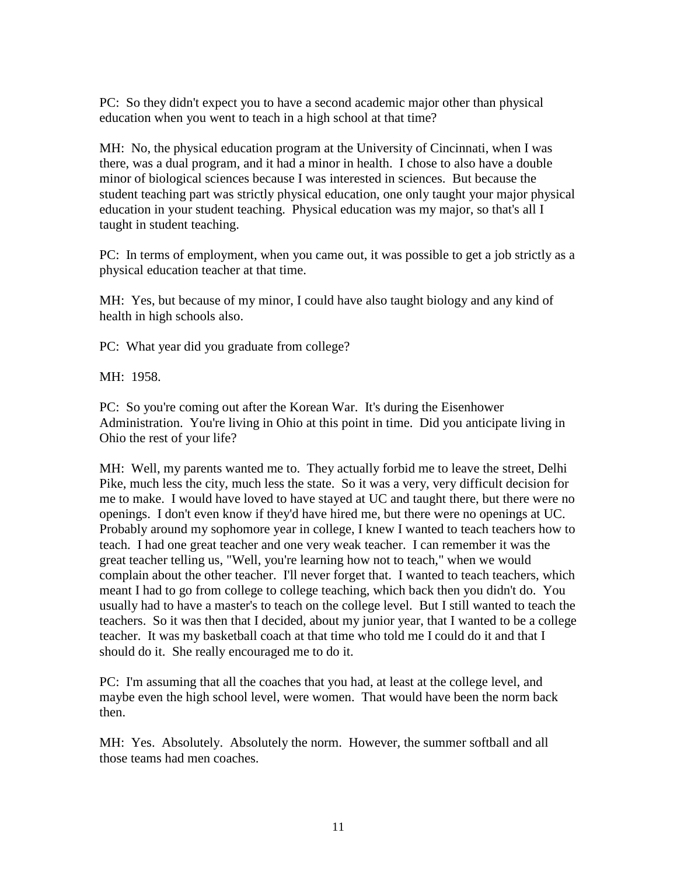PC: So they didn't expect you to have a second academic major other than physical education when you went to teach in a high school at that time?

MH: No, the physical education program at the University of Cincinnati, when I was there, was a dual program, and it had a minor in health. I chose to also have a double minor of biological sciences because I was interested in sciences. But because the student teaching part was strictly physical education, one only taught your major physical education in your student teaching. Physical education was my major, so that's all I taught in student teaching.

PC: In terms of employment, when you came out, it was possible to get a job strictly as a physical education teacher at that time.

MH: Yes, but because of my minor, I could have also taught biology and any kind of health in high schools also.

PC: What year did you graduate from college?

MH: 1958.

PC: So you're coming out after the Korean War. It's during the Eisenhower Administration. You're living in Ohio at this point in time. Did you anticipate living in Ohio the rest of your life?

MH: Well, my parents wanted me to. They actually forbid me to leave the street, Delhi Pike, much less the city, much less the state. So it was a very, very difficult decision for me to make. I would have loved to have stayed at UC and taught there, but there were no openings. I don't even know if they'd have hired me, but there were no openings at UC. Probably around my sophomore year in college, I knew I wanted to teach teachers how to teach. I had one great teacher and one very weak teacher. I can remember it was the great teacher telling us, "Well, you're learning how not to teach," when we would complain about the other teacher. I'll never forget that. I wanted to teach teachers, which meant I had to go from college to college teaching, which back then you didn't do. You usually had to have a master's to teach on the college level. But I still wanted to teach the teachers. So it was then that I decided, about my junior year, that I wanted to be a college teacher. It was my basketball coach at that time who told me I could do it and that I should do it. She really encouraged me to do it.

PC: I'm assuming that all the coaches that you had, at least at the college level, and maybe even the high school level, were women. That would have been the norm back then.

MH: Yes. Absolutely. Absolutely the norm. However, the summer softball and all those teams had men coaches.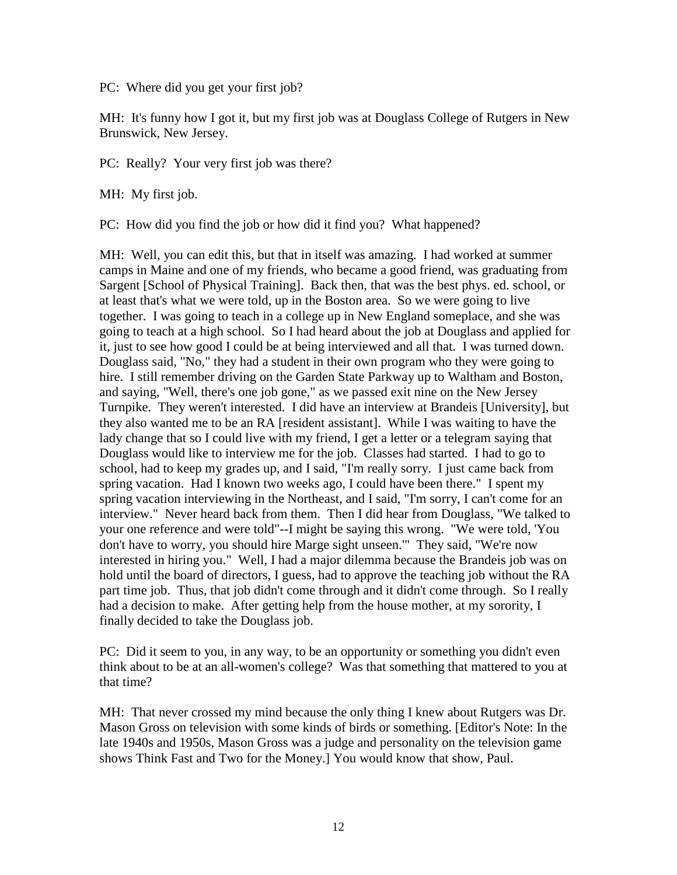PC: Where did you get your first job?

MH: It's funny how I got it, but my first job was at Douglass College of Rutgers in New Brunswick, New Jersey.

PC: Really? Your very first job was there?

MH: My first job.

PC: How did you find the job or how did it find you? What happened?

MH: Well, you can edit this, but that in itself was amazing. I had worked at summer camps in Maine and one of my friends, who became a good friend, was graduating from Sargent [School of Physical Training]. Back then, that was the best phys. ed. school, or at least that's what we were told, up in the Boston area. So we were going to live together. I was going to teach in a college up in New England someplace, and she was going to teach at a high school. So I had heard about the job at Douglass and applied for it, just to see how good I could be at being interviewed and all that. I was turned down. Douglass said, "No," they had a student in their own program who they were going to hire. I still remember driving on the Garden State Parkway up to Waltham and Boston, and saying, "Well, there's one job gone," as we passed exit nine on the New Jersey Turnpike. They weren't interested. I did have an interview at Brandeis [University], but they also wanted me to be an RA [resident assistant]. While I was waiting to have the lady change that so I could live with my friend, I get a letter or a telegram saying that Douglass would like to interview me for the job. Classes had started. I had to go to school, had to keep my grades up, and I said, "I'm really sorry. I just came back from spring vacation. Had I known two weeks ago, I could have been there." I spent my spring vacation interviewing in the Northeast, and I said, "I'm sorry, I can't come for an interview." Never heard back from them. Then I did hear from Douglass, "We talked to your one reference and were told"--I might be saying this wrong. "We were told, 'You don't have to worry, you should hire Marge sight unseen.'" They said, "We're now interested in hiring you." Well, I had a major dilemma because the Brandeis job was on hold until the board of directors, I guess, had to approve the teaching job without the RA part time job. Thus, that job didn't come through and it didn't come through. So I really had a decision to make. After getting help from the house mother, at my sorority, I finally decided to take the Douglass job.

PC: Did it seem to you, in any way, to be an opportunity or something you didn't even think about to be at an all-women's college? Was that something that mattered to you at that time?

MH: That never crossed my mind because the only thing I knew about Rutgers was Dr. Mason Gross on television with some kinds of birds or something. [Editor's Note: In the late 1940s and 1950s, Mason Gross was a judge and personality on the television game shows Think Fast and Two for the Money.] You would know that show, Paul.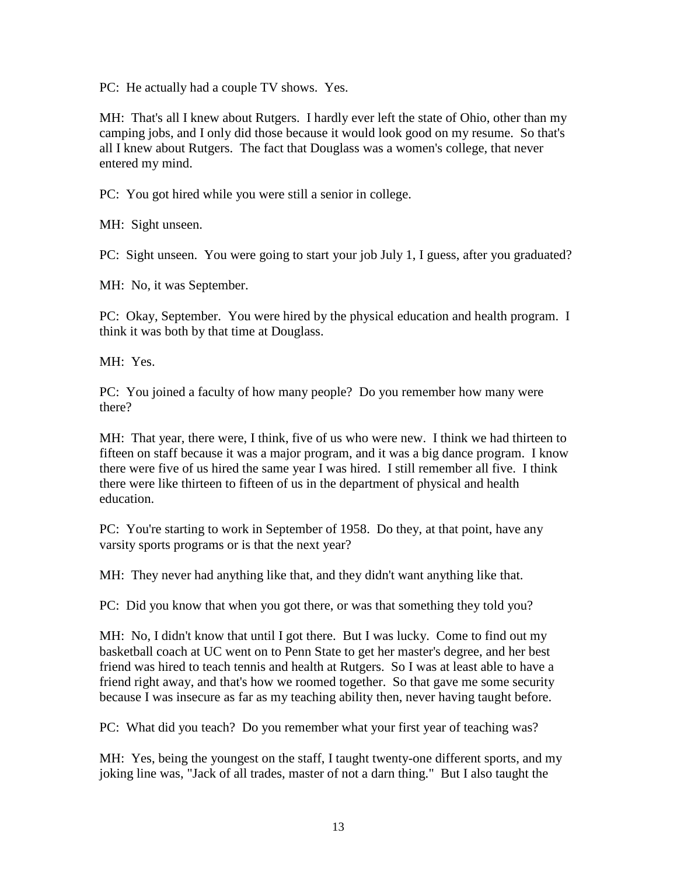PC: He actually had a couple TV shows. Yes.

MH: That's all I knew about Rutgers. I hardly ever left the state of Ohio, other than my camping jobs, and I only did those because it would look good on my resume. So that's all I knew about Rutgers. The fact that Douglass was a women's college, that never entered my mind.

PC: You got hired while you were still a senior in college.

MH: Sight unseen.

PC: Sight unseen. You were going to start your job July 1, I guess, after you graduated?

MH: No, it was September.

PC: Okay, September. You were hired by the physical education and health program. I think it was both by that time at Douglass.

MH: Yes.

PC: You joined a faculty of how many people? Do you remember how many were there?

MH: That year, there were, I think, five of us who were new. I think we had thirteen to fifteen on staff because it was a major program, and it was a big dance program. I know there were five of us hired the same year I was hired. I still remember all five. I think there were like thirteen to fifteen of us in the department of physical and health education.

PC: You're starting to work in September of 1958. Do they, at that point, have any varsity sports programs or is that the next year?

MH: They never had anything like that, and they didn't want anything like that.

PC: Did you know that when you got there, or was that something they told you?

MH: No, I didn't know that until I got there. But I was lucky. Come to find out my basketball coach at UC went on to Penn State to get her master's degree, and her best friend was hired to teach tennis and health at Rutgers. So I was at least able to have a friend right away, and that's how we roomed together. So that gave me some security because I was insecure as far as my teaching ability then, never having taught before.

PC: What did you teach? Do you remember what your first year of teaching was?

MH: Yes, being the youngest on the staff, I taught twenty-one different sports, and my joking line was, "Jack of all trades, master of not a darn thing." But I also taught the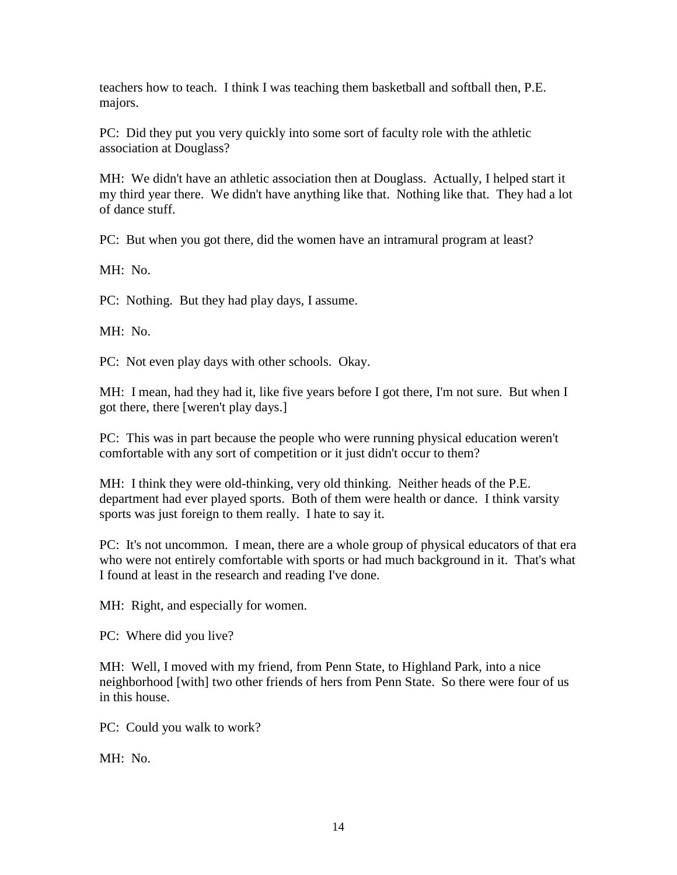teachers how to teach. I think I was teaching them basketball and softball then, P.E. majors.

PC: Did they put you very quickly into some sort of faculty role with the athletic association at Douglass?

MH: We didn't have an athletic association then at Douglass. Actually, I helped start it my third year there. We didn't have anything like that. Nothing like that. They had a lot of dance stuff.

PC: But when you got there, did the women have an intramural program at least?

MH: No.

PC: Nothing. But they had play days, I assume.

MH: No.

PC: Not even play days with other schools. Okay.

MH: I mean, had they had it, like five years before I got there, I'm not sure. But when I got there, there [weren't play days.]

PC: This was in part because the people who were running physical education weren't comfortable with any sort of competition or it just didn't occur to them?

MH: I think they were old-thinking, very old thinking. Neither heads of the P.E. department had ever played sports. Both of them were health or dance. I think varsity sports was just foreign to them really. I hate to say it.

PC: It's not uncommon. I mean, there are a whole group of physical educators of that era who were not entirely comfortable with sports or had much background in it. That's what I found at least in the research and reading I've done.

MH: Right, and especially for women.

PC: Where did you live?

MH: Well, I moved with my friend, from Penn State, to Highland Park, into a nice neighborhood [with] two other friends of hers from Penn State. So there were four of us in this house.

PC: Could you walk to work?

MH: No.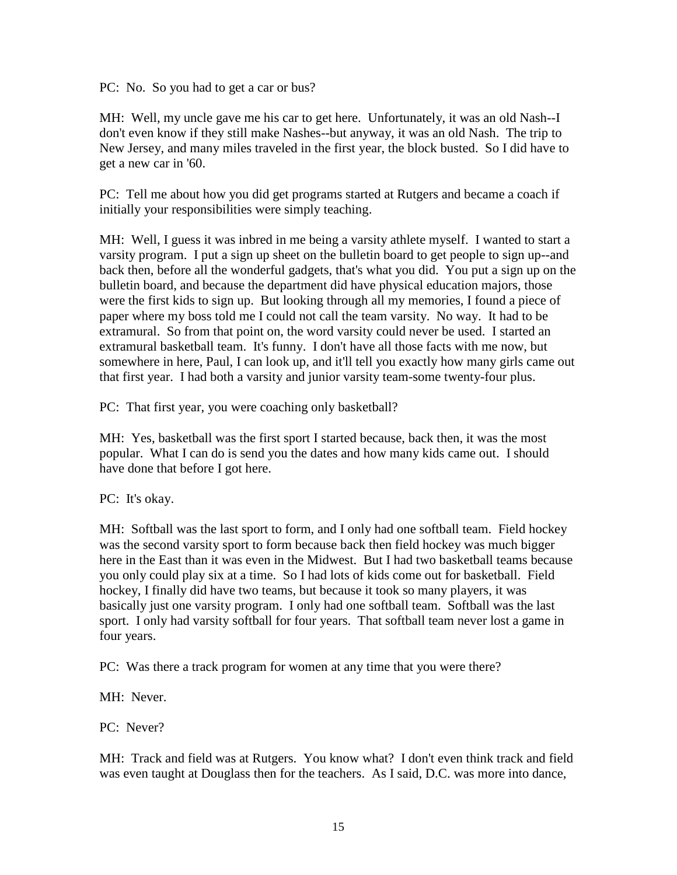PC: No. So you had to get a car or bus?

MH: Well, my uncle gave me his car to get here. Unfortunately, it was an old Nash--I don't even know if they still make Nashes--but anyway, it was an old Nash. The trip to New Jersey, and many miles traveled in the first year, the block busted. So I did have to get a new car in '60.

PC: Tell me about how you did get programs started at Rutgers and became a coach if initially your responsibilities were simply teaching.

MH: Well, I guess it was inbred in me being a varsity athlete myself. I wanted to start a varsity program. I put a sign up sheet on the bulletin board to get people to sign up--and back then, before all the wonderful gadgets, that's what you did. You put a sign up on the bulletin board, and because the department did have physical education majors, those were the first kids to sign up. But looking through all my memories, I found a piece of paper where my boss told me I could not call the team varsity. No way. It had to be extramural. So from that point on, the word varsity could never be used. I started an extramural basketball team. It's funny. I don't have all those facts with me now, but somewhere in here, Paul, I can look up, and it'll tell you exactly how many girls came out that first year. I had both a varsity and junior varsity team-some twenty-four plus.

PC: That first year, you were coaching only basketball?

MH: Yes, basketball was the first sport I started because, back then, it was the most popular. What I can do is send you the dates and how many kids came out. I should have done that before I got here.

PC: It's okay.

MH: Softball was the last sport to form, and I only had one softball team. Field hockey was the second varsity sport to form because back then field hockey was much bigger here in the East than it was even in the Midwest. But I had two basketball teams because you only could play six at a time. So I had lots of kids come out for basketball. Field hockey, I finally did have two teams, but because it took so many players, it was basically just one varsity program. I only had one softball team. Softball was the last sport. I only had varsity softball for four years. That softball team never lost a game in four years.

PC: Was there a track program for women at any time that you were there?

MH: Never.

PC: Never?

MH: Track and field was at Rutgers. You know what? I don't even think track and field was even taught at Douglass then for the teachers. As I said, D.C. was more into dance,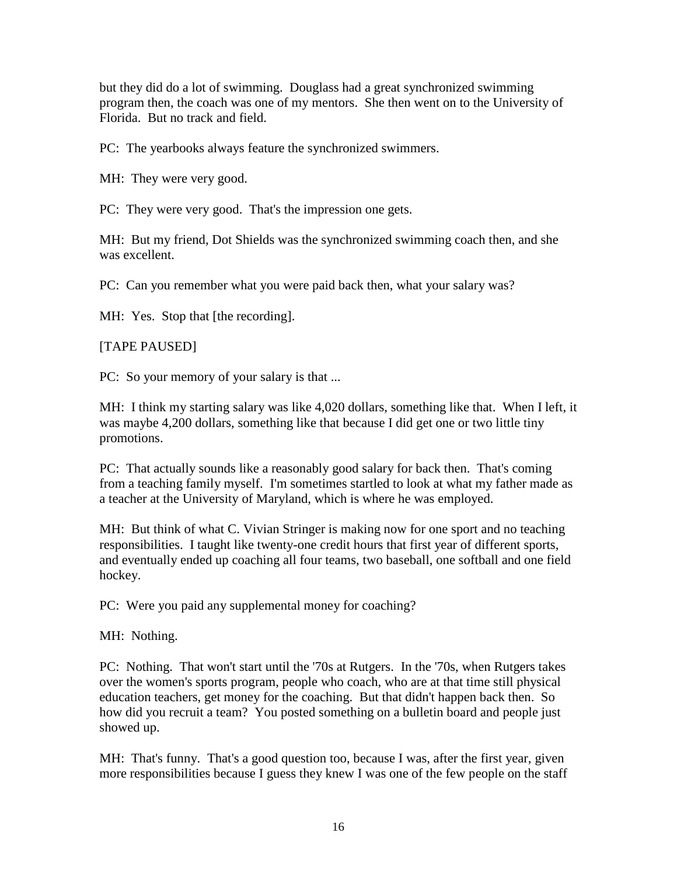but they did do a lot of swimming. Douglass had a great synchronized swimming program then, the coach was one of my mentors. She then went on to the University of Florida. But no track and field.

PC: The yearbooks always feature the synchronized swimmers.

MH: They were very good.

PC: They were very good. That's the impression one gets.

MH: But my friend, Dot Shields was the synchronized swimming coach then, and she was excellent.

PC: Can you remember what you were paid back then, what your salary was?

MH: Yes. Stop that [the recording].

[TAPE PAUSED]

PC: So your memory of your salary is that ...

MH: I think my starting salary was like 4,020 dollars, something like that. When I left, it was maybe 4,200 dollars, something like that because I did get one or two little tiny promotions.

PC: That actually sounds like a reasonably good salary for back then. That's coming from a teaching family myself. I'm sometimes startled to look at what my father made as a teacher at the University of Maryland, which is where he was employed.

MH: But think of what C. Vivian Stringer is making now for one sport and no teaching responsibilities. I taught like twenty-one credit hours that first year of different sports, and eventually ended up coaching all four teams, two baseball, one softball and one field hockey.

PC: Were you paid any supplemental money for coaching?

MH: Nothing.

PC: Nothing. That won't start until the '70s at Rutgers. In the '70s, when Rutgers takes over the women's sports program, people who coach, who are at that time still physical education teachers, get money for the coaching. But that didn't happen back then. So how did you recruit a team? You posted something on a bulletin board and people just showed up.

MH: That's funny. That's a good question too, because I was, after the first year, given more responsibilities because I guess they knew I was one of the few people on the staff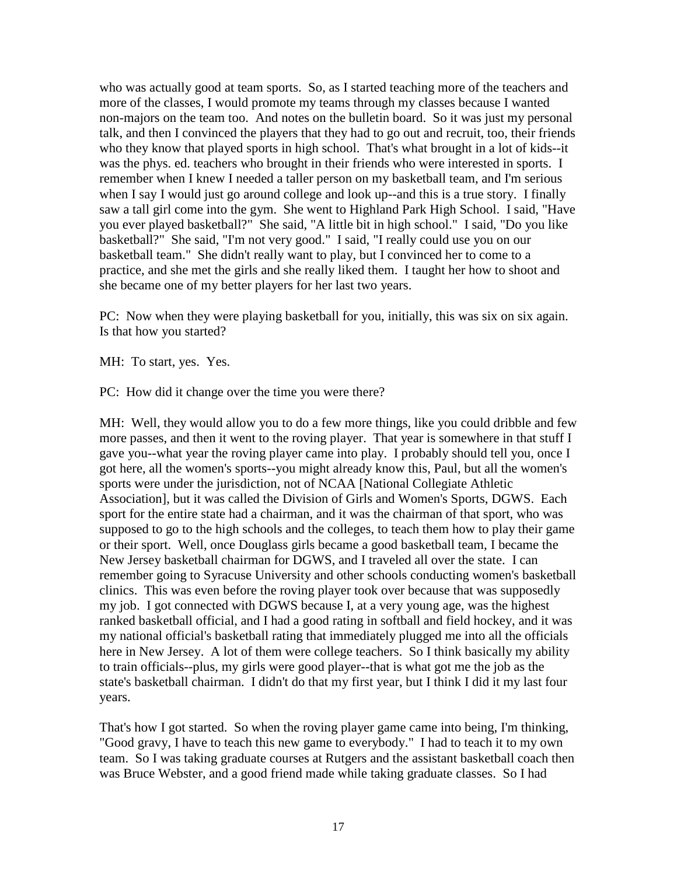who was actually good at team sports. So, as I started teaching more of the teachers and more of the classes, I would promote my teams through my classes because I wanted non-majors on the team too. And notes on the bulletin board. So it was just my personal talk, and then I convinced the players that they had to go out and recruit, too, their friends who they know that played sports in high school. That's what brought in a lot of kids--it was the phys. ed. teachers who brought in their friends who were interested in sports. I remember when I knew I needed a taller person on my basketball team, and I'm serious when I say I would just go around college and look up--and this is a true story. I finally saw a tall girl come into the gym. She went to Highland Park High School. I said, "Have you ever played basketball?" She said, "A little bit in high school." I said, "Do you like basketball?" She said, "I'm not very good." I said, "I really could use you on our basketball team." She didn't really want to play, but I convinced her to come to a practice, and she met the girls and she really liked them. I taught her how to shoot and she became one of my better players for her last two years.

PC: Now when they were playing basketball for you, initially, this was six on six again. Is that how you started?

MH: To start, yes. Yes.

PC: How did it change over the time you were there?

MH: Well, they would allow you to do a few more things, like you could dribble and few more passes, and then it went to the roving player. That year is somewhere in that stuff I gave you--what year the roving player came into play. I probably should tell you, once I got here, all the women's sports--you might already know this, Paul, but all the women's sports were under the jurisdiction, not of NCAA [National Collegiate Athletic Association], but it was called the Division of Girls and Women's Sports, DGWS. Each sport for the entire state had a chairman, and it was the chairman of that sport, who was supposed to go to the high schools and the colleges, to teach them how to play their game or their sport. Well, once Douglass girls became a good basketball team, I became the New Jersey basketball chairman for DGWS, and I traveled all over the state. I can remember going to Syracuse University and other schools conducting women's basketball clinics. This was even before the roving player took over because that was supposedly my job. I got connected with DGWS because I, at a very young age, was the highest ranked basketball official, and I had a good rating in softball and field hockey, and it was my national official's basketball rating that immediately plugged me into all the officials here in New Jersey. A lot of them were college teachers. So I think basically my ability to train officials--plus, my girls were good player--that is what got me the job as the state's basketball chairman. I didn't do that my first year, but I think I did it my last four years.

That's how I got started. So when the roving player game came into being, I'm thinking, "Good gravy, I have to teach this new game to everybody." I had to teach it to my own team. So I was taking graduate courses at Rutgers and the assistant basketball coach then was Bruce Webster, and a good friend made while taking graduate classes. So I had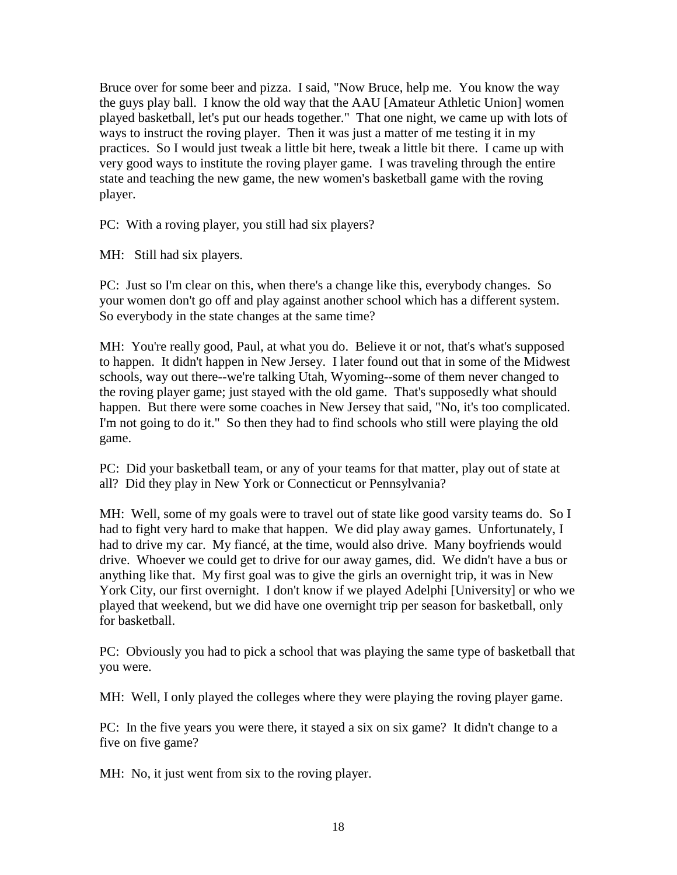Bruce over for some beer and pizza. I said, "Now Bruce, help me. You know the way the guys play ball. I know the old way that the AAU [Amateur Athletic Union] women played basketball, let's put our heads together." That one night, we came up with lots of ways to instruct the roving player. Then it was just a matter of me testing it in my practices. So I would just tweak a little bit here, tweak a little bit there. I came up with very good ways to institute the roving player game. I was traveling through the entire state and teaching the new game, the new women's basketball game with the roving player.

PC: With a roving player, you still had six players?

MH: Still had six players.

PC: Just so I'm clear on this, when there's a change like this, everybody changes. So your women don't go off and play against another school which has a different system. So everybody in the state changes at the same time?

MH: You're really good, Paul, at what you do. Believe it or not, that's what's supposed to happen. It didn't happen in New Jersey. I later found out that in some of the Midwest schools, way out there--we're talking Utah, Wyoming--some of them never changed to the roving player game; just stayed with the old game. That's supposedly what should happen. But there were some coaches in New Jersey that said, "No, it's too complicated. I'm not going to do it." So then they had to find schools who still were playing the old game.

PC: Did your basketball team, or any of your teams for that matter, play out of state at all? Did they play in New York or Connecticut or Pennsylvania?

MH: Well, some of my goals were to travel out of state like good varsity teams do. So I had to fight very hard to make that happen. We did play away games. Unfortunately, I had to drive my car. My fiancé, at the time, would also drive. Many boyfriends would drive. Whoever we could get to drive for our away games, did. We didn't have a bus or anything like that. My first goal was to give the girls an overnight trip, it was in New York City, our first overnight. I don't know if we played Adelphi [University] or who we played that weekend, but we did have one overnight trip per season for basketball, only for basketball.

PC: Obviously you had to pick a school that was playing the same type of basketball that you were.

MH: Well, I only played the colleges where they were playing the roving player game.

PC: In the five years you were there, it stayed a six on six game? It didn't change to a five on five game?

MH: No, it just went from six to the roving player.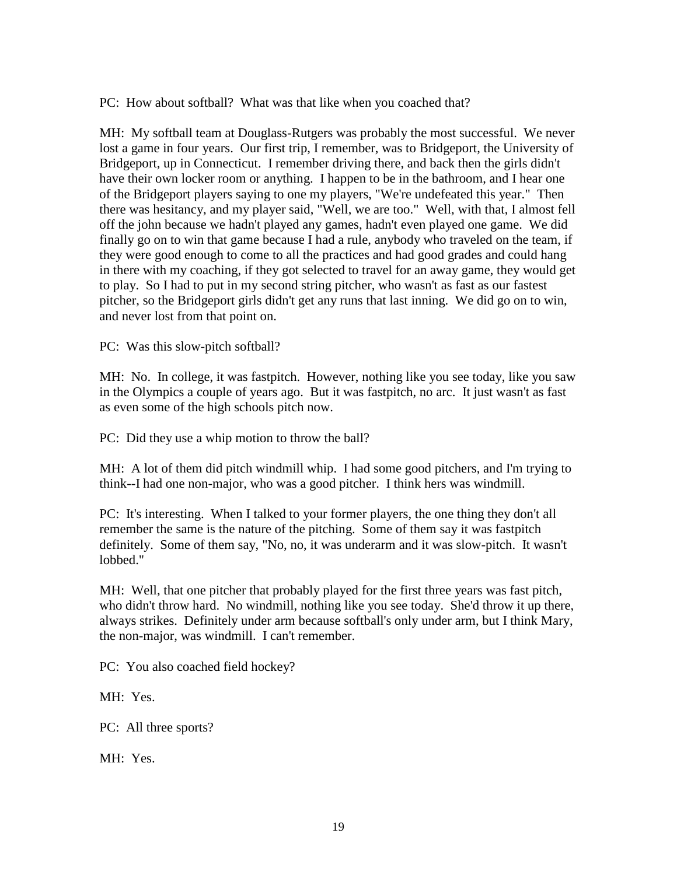PC: How about softball? What was that like when you coached that?

MH: My softball team at Douglass-Rutgers was probably the most successful. We never lost a game in four years. Our first trip, I remember, was to Bridgeport, the University of Bridgeport, up in Connecticut. I remember driving there, and back then the girls didn't have their own locker room or anything. I happen to be in the bathroom, and I hear one of the Bridgeport players saying to one my players, "We're undefeated this year." Then there was hesitancy, and my player said, "Well, we are too." Well, with that, I almost fell off the john because we hadn't played any games, hadn't even played one game. We did finally go on to win that game because I had a rule, anybody who traveled on the team, if they were good enough to come to all the practices and had good grades and could hang in there with my coaching, if they got selected to travel for an away game, they would get to play. So I had to put in my second string pitcher, who wasn't as fast as our fastest pitcher, so the Bridgeport girls didn't get any runs that last inning. We did go on to win, and never lost from that point on.

PC: Was this slow-pitch softball?

MH: No. In college, it was fastpitch. However, nothing like you see today, like you saw in the Olympics a couple of years ago. But it was fastpitch, no arc. It just wasn't as fast as even some of the high schools pitch now.

PC: Did they use a whip motion to throw the ball?

MH: A lot of them did pitch windmill whip. I had some good pitchers, and I'm trying to think--I had one non-major, who was a good pitcher. I think hers was windmill.

PC: It's interesting. When I talked to your former players, the one thing they don't all remember the same is the nature of the pitching. Some of them say it was fastpitch definitely. Some of them say, "No, no, it was underarm and it was slow-pitch. It wasn't lobbed."

MH: Well, that one pitcher that probably played for the first three years was fast pitch, who didn't throw hard. No windmill, nothing like you see today. She'd throw it up there, always strikes. Definitely under arm because softball's only under arm, but I think Mary, the non-major, was windmill. I can't remember.

PC: You also coached field hockey?

MH: Yes.

PC: All three sports?

MH: Yes.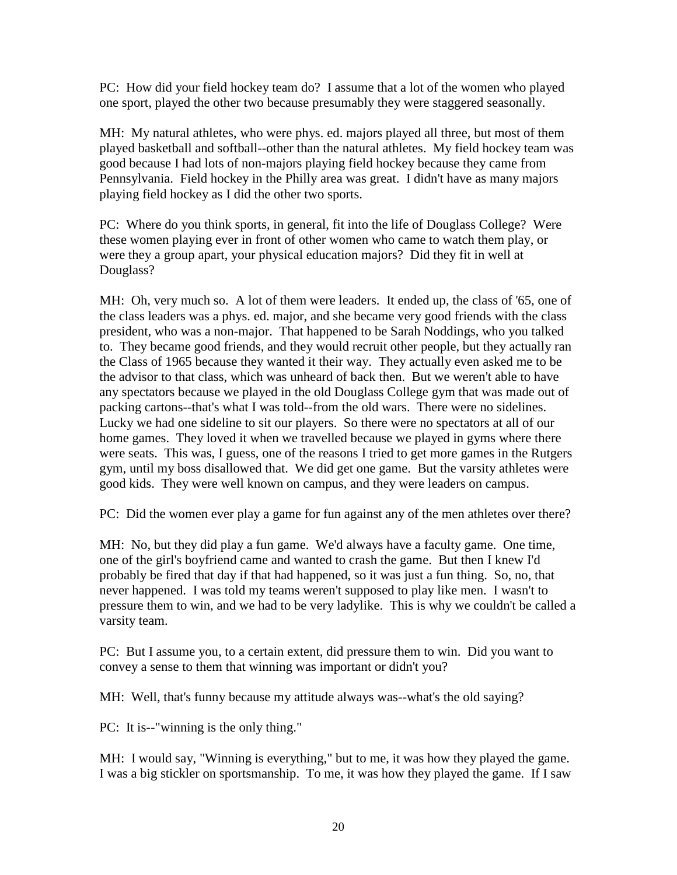PC: How did your field hockey team do? I assume that a lot of the women who played one sport, played the other two because presumably they were staggered seasonally.

MH: My natural athletes, who were phys. ed. majors played all three, but most of them played basketball and softball--other than the natural athletes. My field hockey team was good because I had lots of non-majors playing field hockey because they came from Pennsylvania. Field hockey in the Philly area was great. I didn't have as many majors playing field hockey as I did the other two sports.

PC: Where do you think sports, in general, fit into the life of Douglass College? Were these women playing ever in front of other women who came to watch them play, or were they a group apart, your physical education majors? Did they fit in well at Douglass?

MH: Oh, very much so. A lot of them were leaders. It ended up, the class of '65, one of the class leaders was a phys. ed. major, and she became very good friends with the class president, who was a non-major. That happened to be Sarah Noddings, who you talked to. They became good friends, and they would recruit other people, but they actually ran the Class of 1965 because they wanted it their way. They actually even asked me to be the advisor to that class, which was unheard of back then. But we weren't able to have any spectators because we played in the old Douglass College gym that was made out of packing cartons--that's what I was told--from the old wars. There were no sidelines. Lucky we had one sideline to sit our players. So there were no spectators at all of our home games. They loved it when we travelled because we played in gyms where there were seats. This was, I guess, one of the reasons I tried to get more games in the Rutgers gym, until my boss disallowed that. We did get one game. But the varsity athletes were good kids. They were well known on campus, and they were leaders on campus.

PC: Did the women ever play a game for fun against any of the men athletes over there?

MH: No, but they did play a fun game. We'd always have a faculty game. One time, one of the girl's boyfriend came and wanted to crash the game. But then I knew I'd probably be fired that day if that had happened, so it was just a fun thing. So, no, that never happened. I was told my teams weren't supposed to play like men. I wasn't to pressure them to win, and we had to be very ladylike. This is why we couldn't be called a varsity team.

PC: But I assume you, to a certain extent, did pressure them to win. Did you want to convey a sense to them that winning was important or didn't you?

MH: Well, that's funny because my attitude always was--what's the old saying?

PC: It is--"winning is the only thing."

MH: I would say, "Winning is everything," but to me, it was how they played the game. I was a big stickler on sportsmanship. To me, it was how they played the game. If I saw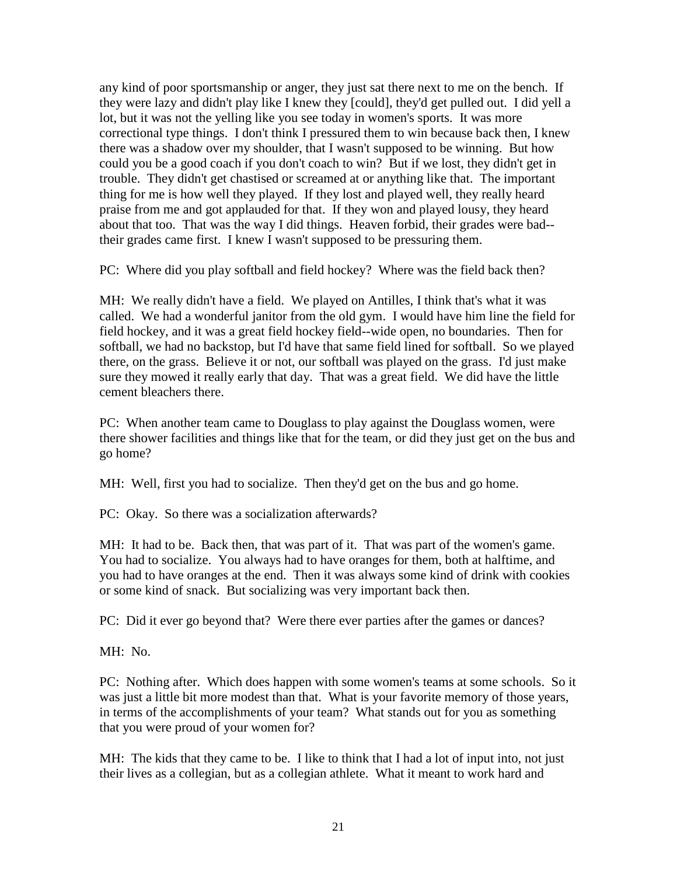any kind of poor sportsmanship or anger, they just sat there next to me on the bench. If they were lazy and didn't play like I knew they [could], they'd get pulled out. I did yell a lot, but it was not the yelling like you see today in women's sports. It was more correctional type things. I don't think I pressured them to win because back then, I knew there was a shadow over my shoulder, that I wasn't supposed to be winning. But how could you be a good coach if you don't coach to win? But if we lost, they didn't get in trouble. They didn't get chastised or screamed at or anything like that. The important thing for me is how well they played. If they lost and played well, they really heard praise from me and got applauded for that. If they won and played lousy, they heard about that too. That was the way I did things. Heaven forbid, their grades were bad- their grades came first. I knew I wasn't supposed to be pressuring them.

PC: Where did you play softball and field hockey? Where was the field back then?

MH: We really didn't have a field. We played on Antilles, I think that's what it was called. We had a wonderful janitor from the old gym. I would have him line the field for field hockey, and it was a great field hockey field--wide open, no boundaries. Then for softball, we had no backstop, but I'd have that same field lined for softball. So we played there, on the grass. Believe it or not, our softball was played on the grass. I'd just make sure they mowed it really early that day. That was a great field. We did have the little cement bleachers there.

PC: When another team came to Douglass to play against the Douglass women, were there shower facilities and things like that for the team, or did they just get on the bus and go home?

MH: Well, first you had to socialize. Then they'd get on the bus and go home.

PC: Okay. So there was a socialization afterwards?

MH: It had to be. Back then, that was part of it. That was part of the women's game. You had to socialize. You always had to have oranges for them, both at halftime, and you had to have oranges at the end. Then it was always some kind of drink with cookies or some kind of snack. But socializing was very important back then.

PC: Did it ever go beyond that? Were there ever parties after the games or dances?

MH: No.

PC: Nothing after. Which does happen with some women's teams at some schools. So it was just a little bit more modest than that. What is your favorite memory of those years, in terms of the accomplishments of your team? What stands out for you as something that you were proud of your women for?

MH: The kids that they came to be. I like to think that I had a lot of input into, not just their lives as a collegian, but as a collegian athlete. What it meant to work hard and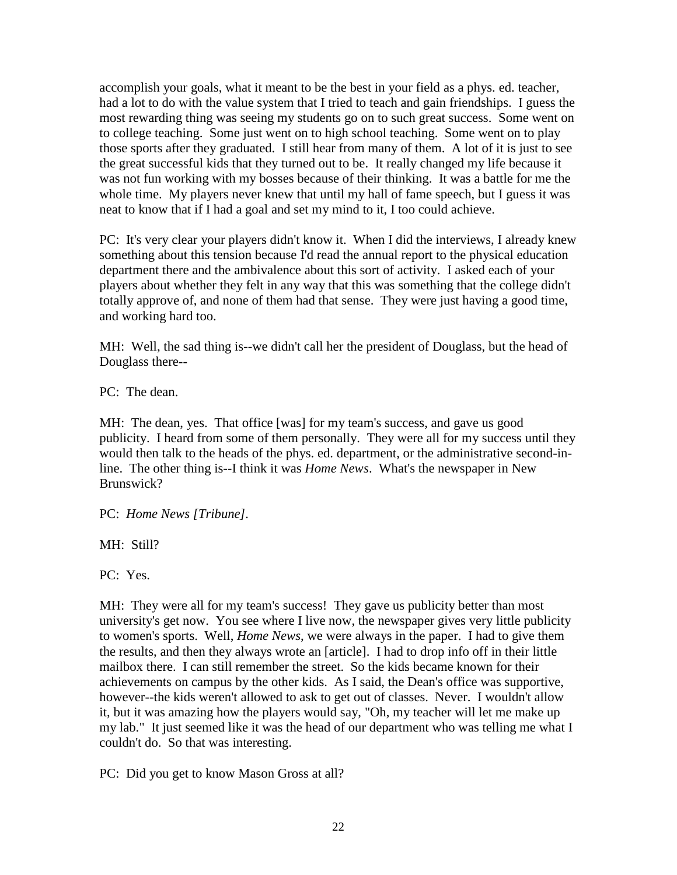accomplish your goals, what it meant to be the best in your field as a phys. ed. teacher, had a lot to do with the value system that I tried to teach and gain friendships. I guess the most rewarding thing was seeing my students go on to such great success. Some went on to college teaching. Some just went on to high school teaching. Some went on to play those sports after they graduated. I still hear from many of them. A lot of it is just to see the great successful kids that they turned out to be. It really changed my life because it was not fun working with my bosses because of their thinking. It was a battle for me the whole time. My players never knew that until my hall of fame speech, but I guess it was neat to know that if I had a goal and set my mind to it, I too could achieve.

PC: It's very clear your players didn't know it. When I did the interviews, I already knew something about this tension because I'd read the annual report to the physical education department there and the ambivalence about this sort of activity. I asked each of your players about whether they felt in any way that this was something that the college didn't totally approve of, and none of them had that sense. They were just having a good time, and working hard too.

MH: Well, the sad thing is--we didn't call her the president of Douglass, but the head of Douglass there--

PC: The dean.

MH: The dean, yes. That office [was] for my team's success, and gave us good publicity. I heard from some of them personally. They were all for my success until they would then talk to the heads of the phys. ed. department, or the administrative second-inline. The other thing is--I think it was *Home News*. What's the newspaper in New Brunswick?

PC: *Home News [Tribune].*

MH: Still?

PC: Yes.

MH: They were all for my team's success! They gave us publicity better than most university's get now. You see where I live now, the newspaper gives very little publicity to women's sports. Well, *Home News*, we were always in the paper. I had to give them the results, and then they always wrote an [article]. I had to drop info off in their little mailbox there. I can still remember the street. So the kids became known for their achievements on campus by the other kids. As I said, the Dean's office was supportive, however--the kids weren't allowed to ask to get out of classes. Never. I wouldn't allow it, but it was amazing how the players would say, "Oh, my teacher will let me make up my lab." It just seemed like it was the head of our department who was telling me what I couldn't do. So that was interesting.

PC: Did you get to know Mason Gross at all?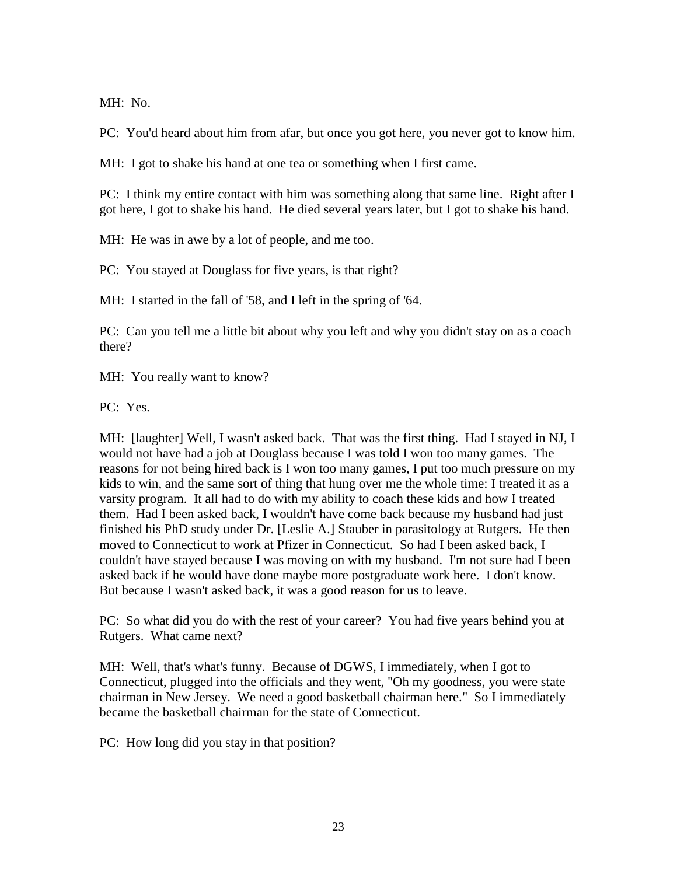MH: No.

PC: You'd heard about him from afar, but once you got here, you never got to know him.

MH: I got to shake his hand at one tea or something when I first came.

PC: I think my entire contact with him was something along that same line. Right after I got here, I got to shake his hand. He died several years later, but I got to shake his hand.

MH: He was in awe by a lot of people, and me too.

PC: You stayed at Douglass for five years, is that right?

MH: I started in the fall of '58, and I left in the spring of '64.

PC: Can you tell me a little bit about why you left and why you didn't stay on as a coach there?

MH: You really want to know?

PC: Yes.

MH: [laughter] Well, I wasn't asked back. That was the first thing. Had I stayed in NJ, I would not have had a job at Douglass because I was told I won too many games. The reasons for not being hired back is I won too many games, I put too much pressure on my kids to win, and the same sort of thing that hung over me the whole time: I treated it as a varsity program. It all had to do with my ability to coach these kids and how I treated them. Had I been asked back, I wouldn't have come back because my husband had just finished his PhD study under Dr. [Leslie A.] Stauber in parasitology at Rutgers. He then moved to Connecticut to work at Pfizer in Connecticut. So had I been asked back, I couldn't have stayed because I was moving on with my husband. I'm not sure had I been asked back if he would have done maybe more postgraduate work here. I don't know. But because I wasn't asked back, it was a good reason for us to leave.

PC: So what did you do with the rest of your career? You had five years behind you at Rutgers. What came next?

MH: Well, that's what's funny. Because of DGWS, I immediately, when I got to Connecticut, plugged into the officials and they went, "Oh my goodness, you were state chairman in New Jersey. We need a good basketball chairman here." So I immediately became the basketball chairman for the state of Connecticut.

PC: How long did you stay in that position?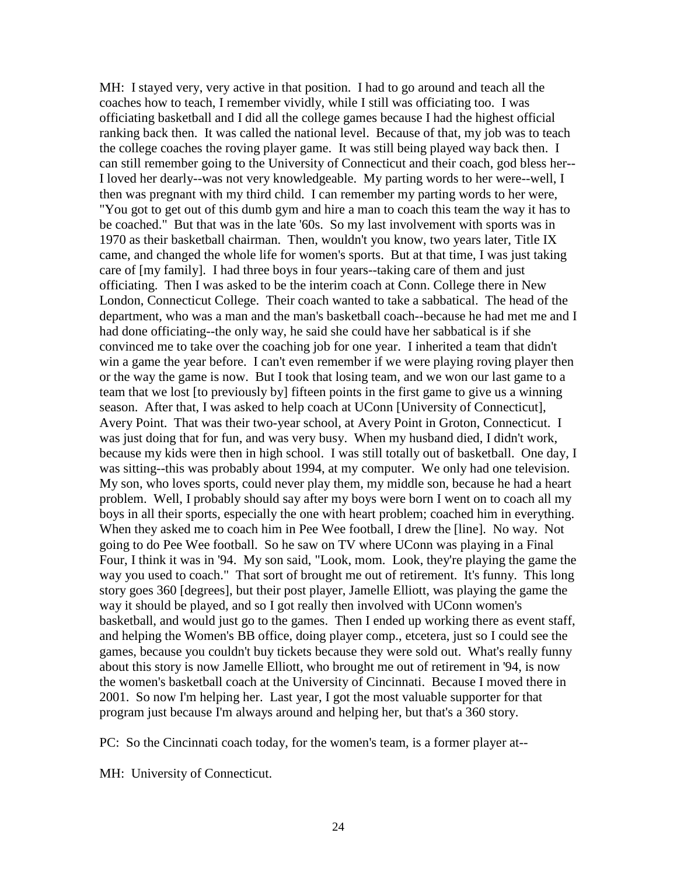MH: I stayed very, very active in that position. I had to go around and teach all the coaches how to teach, I remember vividly, while I still was officiating too. I was officiating basketball and I did all the college games because I had the highest official ranking back then. It was called the national level. Because of that, my job was to teach the college coaches the roving player game. It was still being played way back then. I can still remember going to the University of Connecticut and their coach, god bless her-- I loved her dearly--was not very knowledgeable. My parting words to her were--well, I then was pregnant with my third child. I can remember my parting words to her were, "You got to get out of this dumb gym and hire a man to coach this team the way it has to be coached." But that was in the late '60s. So my last involvement with sports was in 1970 as their basketball chairman. Then, wouldn't you know, two years later, Title IX came, and changed the whole life for women's sports. But at that time, I was just taking care of [my family]. I had three boys in four years--taking care of them and just officiating. Then I was asked to be the interim coach at Conn. College there in New London, Connecticut College. Their coach wanted to take a sabbatical. The head of the department, who was a man and the man's basketball coach--because he had met me and I had done officiating--the only way, he said she could have her sabbatical is if she convinced me to take over the coaching job for one year. I inherited a team that didn't win a game the year before. I can't even remember if we were playing roving player then or the way the game is now. But I took that losing team, and we won our last game to a team that we lost [to previously by] fifteen points in the first game to give us a winning season. After that, I was asked to help coach at UConn [University of Connecticut], Avery Point. That was their two-year school, at Avery Point in Groton, Connecticut. I was just doing that for fun, and was very busy. When my husband died, I didn't work, because my kids were then in high school. I was still totally out of basketball. One day, I was sitting--this was probably about 1994, at my computer. We only had one television. My son, who loves sports, could never play them, my middle son, because he had a heart problem. Well, I probably should say after my boys were born I went on to coach all my boys in all their sports, especially the one with heart problem; coached him in everything. When they asked me to coach him in Pee Wee football, I drew the [line]. No way. Not going to do Pee Wee football. So he saw on TV where UConn was playing in a Final Four, I think it was in '94. My son said, "Look, mom. Look, they're playing the game the way you used to coach." That sort of brought me out of retirement. It's funny. This long story goes 360 [degrees], but their post player, Jamelle Elliott, was playing the game the way it should be played, and so I got really then involved with UConn women's basketball, and would just go to the games. Then I ended up working there as event staff, and helping the Women's BB office, doing player comp., etcetera, just so I could see the games, because you couldn't buy tickets because they were sold out. What's really funny about this story is now Jamelle Elliott, who brought me out of retirement in '94, is now the women's basketball coach at the University of Cincinnati. Because I moved there in 2001. So now I'm helping her. Last year, I got the most valuable supporter for that program just because I'm always around and helping her, but that's a 360 story.

PC: So the Cincinnati coach today, for the women's team, is a former player at--

MH: University of Connecticut.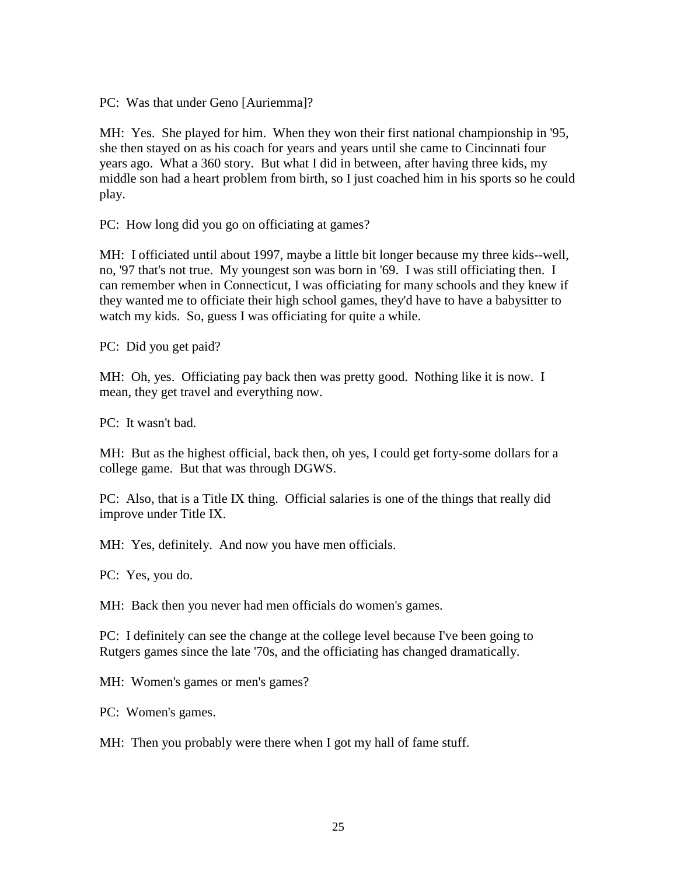PC: Was that under Geno [Auriemma]?

MH: Yes. She played for him. When they won their first national championship in '95, she then stayed on as his coach for years and years until she came to Cincinnati four years ago. What a 360 story. But what I did in between, after having three kids, my middle son had a heart problem from birth, so I just coached him in his sports so he could play.

PC: How long did you go on officiating at games?

MH: I officiated until about 1997, maybe a little bit longer because my three kids--well, no, '97 that's not true. My youngest son was born in '69. I was still officiating then. I can remember when in Connecticut, I was officiating for many schools and they knew if they wanted me to officiate their high school games, they'd have to have a babysitter to watch my kids. So, guess I was officiating for quite a while.

PC: Did you get paid?

MH: Oh, yes. Officiating pay back then was pretty good. Nothing like it is now. I mean, they get travel and everything now.

PC: It wasn't bad.

MH: But as the highest official, back then, oh yes, I could get forty-some dollars for a college game. But that was through DGWS.

PC: Also, that is a Title IX thing. Official salaries is one of the things that really did improve under Title IX.

MH: Yes, definitely. And now you have men officials.

PC: Yes, you do.

MH: Back then you never had men officials do women's games.

PC: I definitely can see the change at the college level because I've been going to Rutgers games since the late '70s, and the officiating has changed dramatically.

MH: Women's games or men's games?

PC: Women's games.

MH: Then you probably were there when I got my hall of fame stuff.